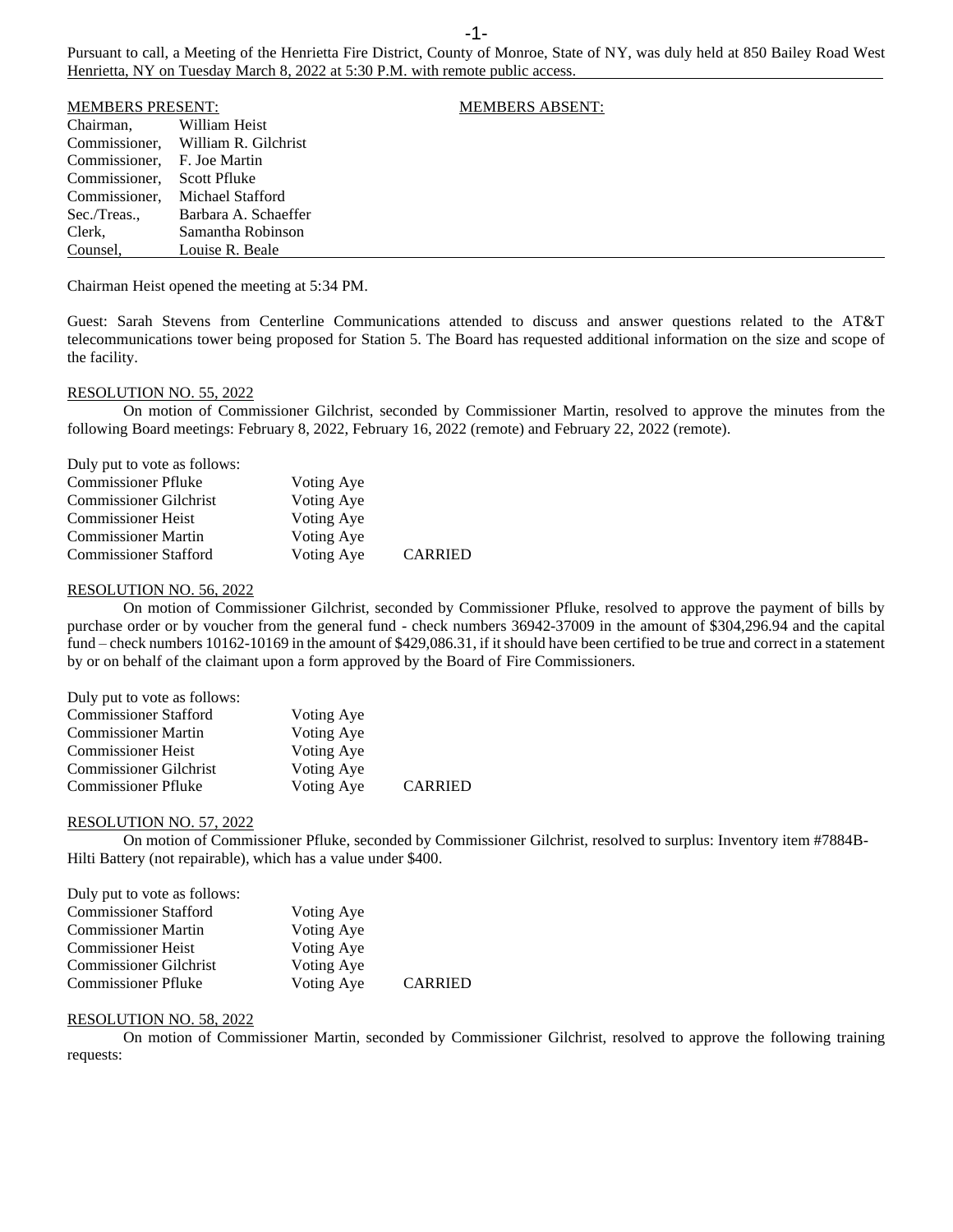Pursuant to call, a Meeting of the Henrietta Fire District, County of Monroe, State of NY, was duly held at 850 Bailey Road West Henrietta, NY on Tuesday March 8, 2022 at 5:30 P.M. with remote public access.

| <b>MEMBERS PRESENT:</b>     |                                    | <b>MEMBERS ABSENT:</b> |
|-----------------------------|------------------------------------|------------------------|
| Chairman,                   | William Heist                      |                        |
|                             | Commissioner. William R. Gilchrist |                        |
| Commissioner. F. Joe Martin |                                    |                        |
| Commissioner.               | Scott Pfluke                       |                        |
| Commissioner,               | Michael Stafford                   |                        |
| Sec./Treas.,                | Barbara A. Schaeffer               |                        |
| Clerk,                      | Samantha Robinson                  |                        |
| Counsel.                    | Louise R. Beale                    |                        |

Chairman Heist opened the meeting at 5:34 PM.

Guest: Sarah Stevens from Centerline Communications attended to discuss and answer questions related to the AT&T telecommunications tower being proposed for Station 5. The Board has requested additional information on the size and scope of the facility.

### RESOLUTION NO. 55, 2022

On motion of Commissioner Gilchrist, seconded by Commissioner Martin, resolved to approve the minutes from the following Board meetings: February 8, 2022, February 16, 2022 (remote) and February 22, 2022 (remote).

| Duly put to vote as follows:  |            |                |
|-------------------------------|------------|----------------|
| <b>Commissioner Pfluke</b>    | Voting Aye |                |
| <b>Commissioner Gilchrist</b> | Voting Aye |                |
| <b>Commissioner Heist</b>     | Voting Aye |                |
| <b>Commissioner Martin</b>    | Voting Aye |                |
| <b>Commissioner Stafford</b>  | Voting Aye | <b>CARRIED</b> |

#### RESOLUTION NO. 56, 2022

On motion of Commissioner Gilchrist, seconded by Commissioner Pfluke, resolved to approve the payment of bills by purchase order or by voucher from the general fund - check numbers 36942-37009 in the amount of \$304,296.94 and the capital fund – check numbers 10162-10169 in the amount of \$429,086.31, if it should have been certified to be true and correct in a statement by or on behalf of the claimant upon a form approved by the Board of Fire Commissioners.

| Duly put to vote as follows:  |            |                |
|-------------------------------|------------|----------------|
| <b>Commissioner Stafford</b>  | Voting Aye |                |
| <b>Commissioner Martin</b>    | Voting Aye |                |
| <b>Commissioner Heist</b>     | Voting Aye |                |
| <b>Commissioner Gilchrist</b> | Voting Aye |                |
| <b>Commissioner Pfluke</b>    | Voting Aye | <b>CARRIED</b> |

### RESOLUTION NO. 57, 2022

On motion of Commissioner Pfluke, seconded by Commissioner Gilchrist, resolved to surplus: Inventory item #7884B-Hilti Battery (not repairable), which has a value under \$400.

| Duly put to vote as follows:  |            |                |
|-------------------------------|------------|----------------|
| <b>Commissioner Stafford</b>  | Voting Aye |                |
| <b>Commissioner Martin</b>    | Voting Aye |                |
| <b>Commissioner Heist</b>     | Voting Aye |                |
| <b>Commissioner Gilchrist</b> | Voting Aye |                |
| <b>Commissioner Pfluke</b>    | Voting Aye | <b>CARRIED</b> |

#### RESOLUTION NO. 58, 2022

On motion of Commissioner Martin, seconded by Commissioner Gilchrist, resolved to approve the following training requests: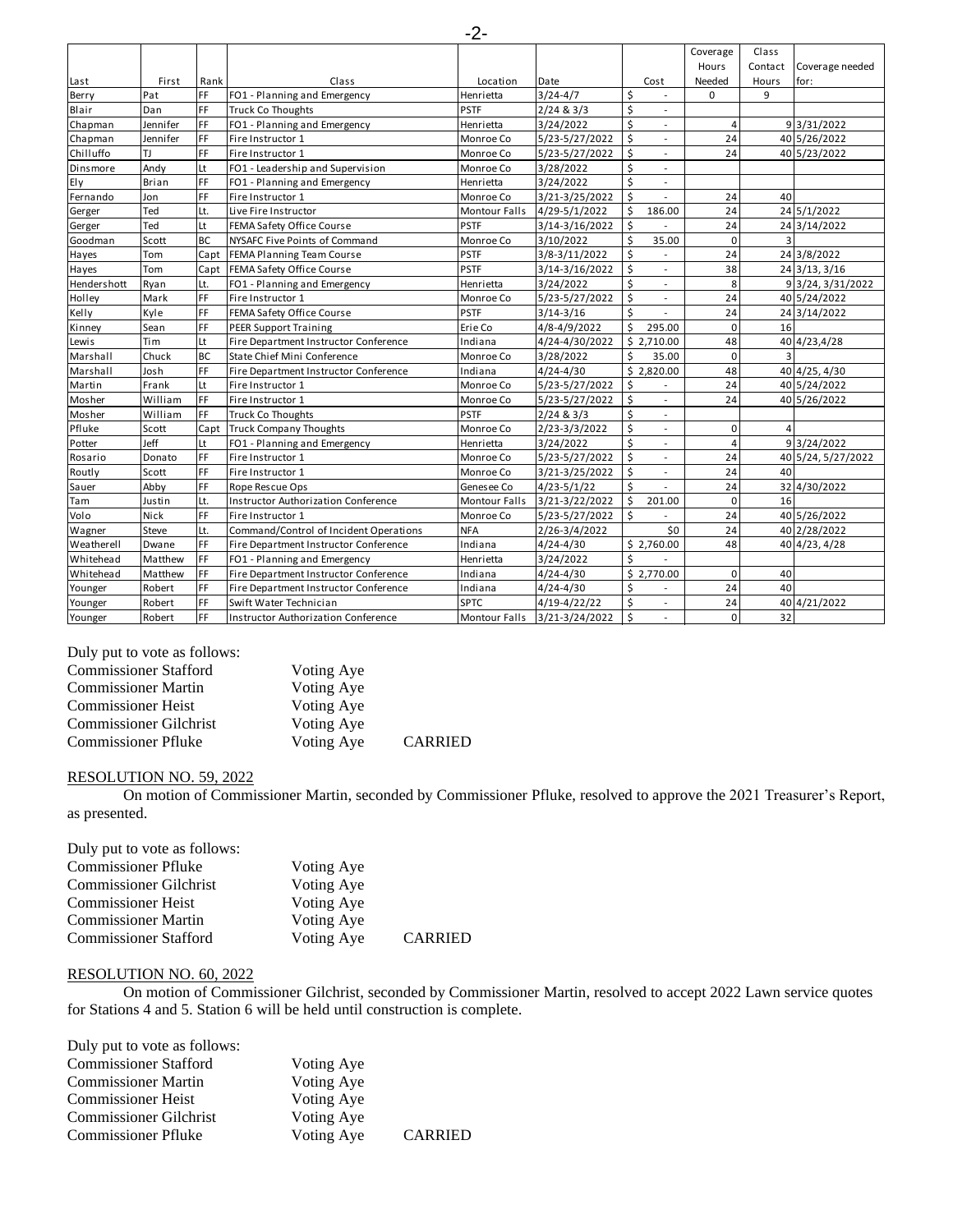|                 |                 |            |                                            |                      |                 |                                | Coverage       | Class          |                    |
|-----------------|-----------------|------------|--------------------------------------------|----------------------|-----------------|--------------------------------|----------------|----------------|--------------------|
|                 |                 |            |                                            |                      |                 |                                | Hours          | Contact        | Coverage needed    |
| Last            | First           | Rank       | Class                                      | Location             | Date            | Cost                           | Needed         | Hours          | for:               |
| Berry           | Pat             | FF         | FO1 - Planning and Emergency               | Henrietta            | $3/24 - 4/7$    | \$<br>$\overline{\phantom{a}}$ | 0              | 9              |                    |
| Blair           | Dan             | <b>IFF</b> | <b>Truck Co Thoughts</b>                   | <b>PSTF</b>          | 2/24 & 3/3      | Ś<br>$\overline{\phantom{a}}$  |                |                |                    |
| Chapman         | Jennifer        | FF         | FO1 - Planning and Emergency               | Henrietta            | 3/24/2022       | Ś                              | 4              |                | 9 3/31/2022        |
| Chapman         | <b>Jennifer</b> | FF         | Fire Instructor 1                          | Monroe Co            | 5/23-5/27/2022  | $\sf S$<br>$\blacksquare$      | 24             |                | 40 5/26/2022       |
| Chilluffo       | TJ.             | FF         | Fire Instructor 1                          | Monroe Co            | 5/23-5/27/2022  | \$<br>$\overline{\phantom{a}}$ | 24             |                | 40 5/23/2022       |
| <b>Dinsmore</b> | Andy            | Lt         | FO1 - Leadership and Supervision           | Monroe Co            | 3/28/2022       | Ś<br>$\overline{a}$            |                |                |                    |
| Ely             | <b>Brian</b>    | <b>IFF</b> | FO1 - Planning and Emergency               | Henrietta            | 3/24/2022       | Ś<br>$\overline{\phantom{a}}$  |                |                |                    |
| Fernando        | Jon             | FF         | Fire Instructor 1                          | Monroe Co            | 3/21-3/25/2022  | Ś                              | 24             | 40             |                    |
| Gerger          | Ted             | Lt.        | Live Fire Instructor                       | <b>Montour Falls</b> | 4/29-5/1/2022   | Ś<br>186.00                    | 24             |                | 24 5/1/2022        |
| Gerger          | Ted             | Lt         | FEMA Safety Office Course                  | <b>PSTF</b>          | 3/14-3/16/2022  | Ś                              | 24             |                | 24 3/14/2022       |
| Goodman         | Scott           | <b>BC</b>  | NYSAFC Five Points of Command              | Monroe Co            | 3/10/2022       | Ŝ.<br>35.00                    | $\mathbf 0$    | 3              |                    |
| Hayes           | Tom             | Capt       | FEMA Planning Team Course                  | <b>PSTF</b>          | 3/8-3/11/2022   | Ś<br>$\overline{a}$            | 24             |                | 24 3/8/2022        |
| Hayes           | Tom             | Capt       | FEMA Safety Office Course                  | <b>PSTF</b>          | 3/14-3/16/2022  | Ś.<br>٠                        | 38             |                | $24$ 3/13, 3/16    |
| Hendershott     | Ryan            | Lt.        | FO1 - Planning and Emergency               | Henrietta            | 3/24/2022       | Ś<br>$\blacksquare$            | 8              |                | 9 3/24, 3/31/2022  |
| Holley          | Mark            | FF         | Fire Instructor 1                          | Monroe Co            | 5/23-5/27/2022  | Ś<br>$\overline{\phantom{a}}$  | 24             |                | 40 5/24/2022       |
| Kelly           | Kyle            | FF         | FEMA Safety Office Course                  | <b>PSTF</b>          | $3/14 - 3/16$   | Ś                              | 24             |                | 24 3/14/2022       |
| Kinney          | Sean            | <b>IFF</b> | <b>PEER Support Training</b>               | Erie Co              | 4/8-4/9/2022    | Ś<br>295.00                    | $\mathbf 0$    | 16             |                    |
| Lewis           | Tim             | Lt         | Fire Department Instructor Conference      | Indiana              | 4/24-4/30/2022  | \$2,710.00                     | 48             |                | 40 4/23,4/28       |
| Marshall        | Chuck           | <b>BC</b>  | State Chief Mini Conference                | Monroe Co            | 3/28/2022       | Ś<br>35.00                     | 0              | $\overline{3}$ |                    |
| Marshall        | Josh            | FF         | Fire Department Instructor Conference      | Indiana              | $4/24 - 4/30$   | \$2,820.00                     | 48             |                | 40 4/25, 4/30      |
| Martin          | Frank           | Lt         | Fire Instructor 1                          | Monroe Co            | 5/23-5/27/2022  | Ŝ.                             | 24             |                | 40 5/24/2022       |
| Mosher          | William         | <b>IFF</b> | Fire Instructor 1                          | Monroe Co            | 5/23-5/27/2022  | Ś.<br>$\overline{\phantom{a}}$ | 24             |                | 40 5/26/2022       |
| Mosher          | William         | FF         | <b>Truck Co Thoughts</b>                   | <b>PSTF</b>          | 2/24 & 3/3      | \$<br>٠                        |                |                |                    |
| Pfluke          | Scott           | Capt       | <b>Truck Company Thoughts</b>              | Monroe Co            | 2/23-3/3/2022   | \$<br>٠                        | 0              | 4              |                    |
| Potter          | Jeff            | Lt         | FO1 - Planning and Emergency               | Henrietta            | 3/24/2022       | \$<br>$\blacksquare$           | $\overline{4}$ |                | 9 3/24/2022        |
| Rosario         | Donato          | FF         | Fire Instructor 1                          | Monroe Co            | 5/23-5/27/2022  | Ś.<br>$\blacksquare$           | 24             |                | 40 5/24, 5/27/2022 |
| Routly          | Scott           | <b>IFF</b> | Fire Instructor 1                          | Monroe Co            | 3/21-3/25/2022  | Ś<br>$\overline{\phantom{a}}$  | 24             | 40             |                    |
| Sauer           | Abby            | FF         | <b>Rope Rescue Ops</b>                     | Genesee Co           | $4/23 - 5/1/22$ | Ś                              | 24             |                | 32 4/30/2022       |
| Tam             | Justin          | Lt.        | <b>Instructor Authorization Conference</b> | <b>Montour Falls</b> | 3/21-3/22/2022  | Ś.<br>201.00                   | $\mathbf 0$    | 16             |                    |
| Volo            | Nick            | FF         | Fire Instructor 1                          | Monroe Co            | 5/23-5/27/2022  | Ś                              | 24             |                | 40 5/26/2022       |
| Wagner          | Steve           | Lt.        | Command/Control of Incident Operations     | <b>NFA</b>           | 2/26-3/4/2022   | \$0                            | 24             |                | 40 2/28/2022       |
| Weatherell      | Dwane           | FF         | Fire Department Instructor Conference      | Indiana              | $4/24 - 4/30$   | \$2,760.00                     | 48             |                | 40 4/23, 4/28      |
| Whitehead       | Matthew         | FF         | FO1 - Planning and Emergency               | Henrietta            | 3/24/2022       | Ś                              |                |                |                    |
| Whitehead       | Matthew         | FF         | Fire Department Instructor Conference      | Indiana              | $4/24 - 4/30$   | \$2,770.00                     | $\Omega$       | 40             |                    |
| Younger         | Robert          | FF         | Fire Department Instructor Conference      | Indiana              | $4/24 - 4/30$   | \$                             | 24             | 40             |                    |
| Younger         | Robert          | FF         | Swift Water Technician                     | <b>SPTC</b>          | 4/19-4/22/22    | $\sf S$<br>$\blacksquare$      | 24             |                | 40 4/21/2022       |
| Younger         | Robert          | <b>IFF</b> | <b>Instructor Authorization Conference</b> | <b>Montour Falls</b> | 3/21-3/24/2022  | Ś                              | $\Omega$       | 32             |                    |
|                 |                 |            |                                            |                      |                 |                                |                |                |                    |
|                 |                 |            |                                            |                      |                 |                                |                |                |                    |

Duly put to vote as follows:

| <b>Commissioner Stafford</b>  | Voting Aye |                |
|-------------------------------|------------|----------------|
| <b>Commissioner Martin</b>    | Voting Aye |                |
| <b>Commissioner Heist</b>     | Voting Aye |                |
| <b>Commissioner Gilchrist</b> | Voting Aye |                |
| <b>Commissioner Pfluke</b>    | Voting Aye | <b>CARRIED</b> |

# RESOLUTION NO. 59, 2022

On motion of Commissioner Martin, seconded by Commissioner Pfluke, resolved to approve the 2021 Treasurer's Report, as presented.

| Duly put to vote as follows:  |            |                |
|-------------------------------|------------|----------------|
| <b>Commissioner Pfluke</b>    | Voting Aye |                |
| <b>Commissioner Gilchrist</b> | Voting Aye |                |
| <b>Commissioner Heist</b>     | Voting Aye |                |
| <b>Commissioner Martin</b>    | Voting Aye |                |
| <b>Commissioner Stafford</b>  | Voting Aye | <b>CARRIED</b> |

# RESOLUTION NO. 60, 2022

On motion of Commissioner Gilchrist, seconded by Commissioner Martin, resolved to accept 2022 Lawn service quotes for Stations 4 and 5. Station 6 will be held until construction is complete.

| Duly put to vote as follows:  |            |                |
|-------------------------------|------------|----------------|
| <b>Commissioner Stafford</b>  | Voting Aye |                |
| <b>Commissioner Martin</b>    | Voting Aye |                |
| <b>Commissioner Heist</b>     | Voting Aye |                |
| <b>Commissioner Gilchrist</b> | Voting Aye |                |
| <b>Commissioner Pfluke</b>    | Voting Aye | <b>CARRIED</b> |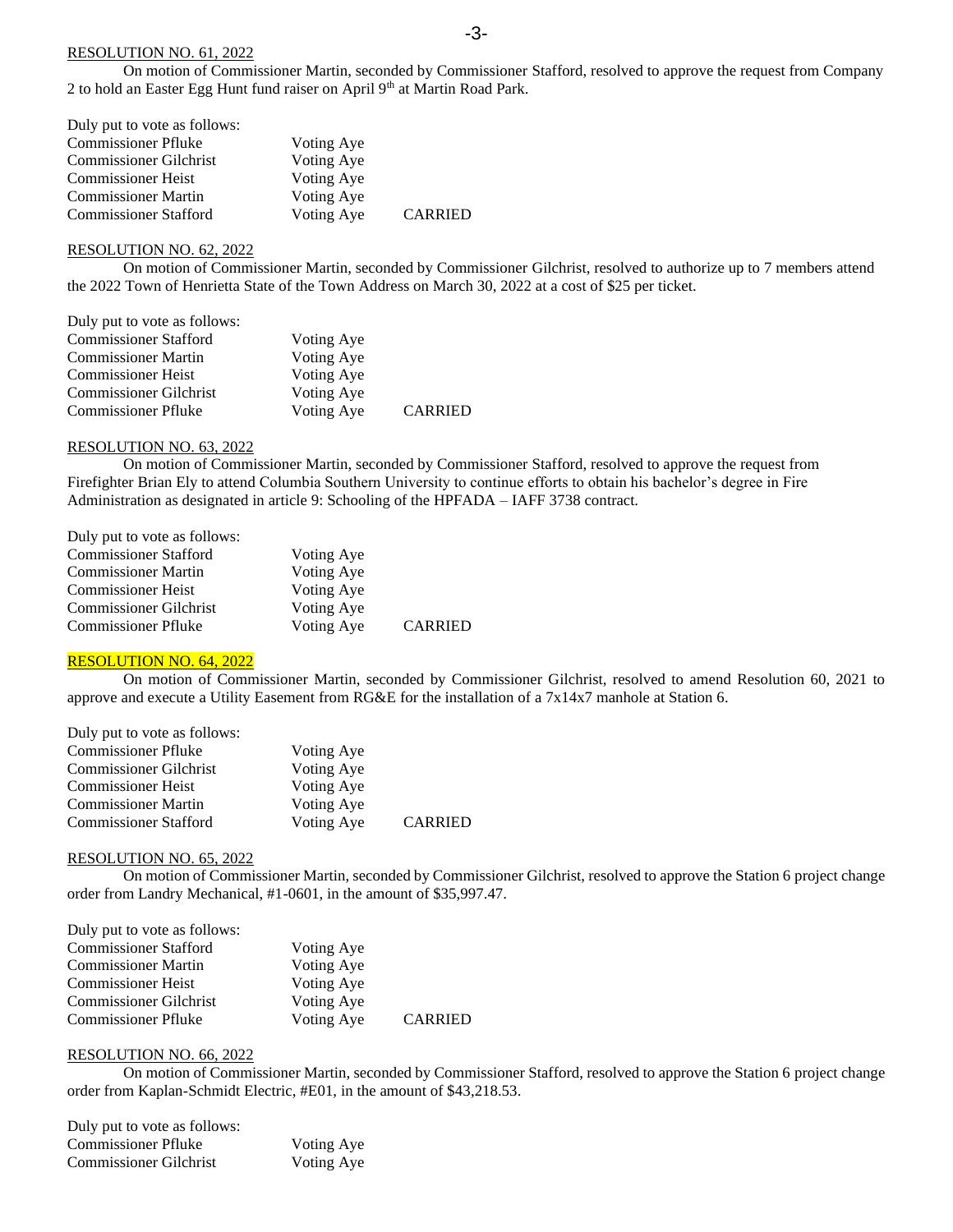# RESOLUTION NO. 61, 2022

On motion of Commissioner Martin, seconded by Commissioner Stafford, resolved to approve the request from Company 2 to hold an Easter Egg Hunt fund raiser on April 9<sup>th</sup> at Martin Road Park.

| Duly put to vote as follows:  |            |                |
|-------------------------------|------------|----------------|
| <b>Commissioner Pfluke</b>    | Voting Aye |                |
| <b>Commissioner Gilchrist</b> | Voting Aye |                |
| <b>Commissioner Heist</b>     | Voting Aye |                |
| <b>Commissioner Martin</b>    | Voting Aye |                |
| <b>Commissioner Stafford</b>  | Voting Aye | <b>CARRIED</b> |

#### RESOLUTION NO. 62, 2022

On motion of Commissioner Martin, seconded by Commissioner Gilchrist, resolved to authorize up to 7 members attend the 2022 Town of Henrietta State of the Town Address on March 30, 2022 at a cost of \$25 per ticket.

| Duly put to vote as follows:  |            |                |
|-------------------------------|------------|----------------|
| <b>Commissioner Stafford</b>  | Voting Aye |                |
| <b>Commissioner Martin</b>    | Voting Aye |                |
| <b>Commissioner Heist</b>     | Voting Aye |                |
| <b>Commissioner Gilchrist</b> | Voting Aye |                |
| <b>Commissioner Pfluke</b>    | Voting Aye | <b>CARRIED</b> |

# RESOLUTION NO. 63, 2022

On motion of Commissioner Martin, seconded by Commissioner Stafford, resolved to approve the request from Firefighter Brian Ely to attend Columbia Southern University to continue efforts to obtain his bachelor's degree in Fire Administration as designated in article 9: Schooling of the HPFADA – IAFF 3738 contract.

| Duly put to vote as follows:  |            |                |
|-------------------------------|------------|----------------|
| <b>Commissioner Stafford</b>  | Voting Aye |                |
| <b>Commissioner Martin</b>    | Voting Aye |                |
| <b>Commissioner Heist</b>     | Voting Aye |                |
| <b>Commissioner Gilchrist</b> | Voting Aye |                |
| <b>Commissioner Pfluke</b>    | Voting Aye | <b>CARRIED</b> |

# RESOLUTION NO. 64, 2022

On motion of Commissioner Martin, seconded by Commissioner Gilchrist, resolved to amend Resolution 60, 2021 to approve and execute a Utility Easement from RG&E for the installation of a 7x14x7 manhole at Station 6.

| Duly put to vote as follows:  |            |                |
|-------------------------------|------------|----------------|
| <b>Commissioner Pfluke</b>    | Voting Aye |                |
| <b>Commissioner Gilchrist</b> | Voting Aye |                |
| <b>Commissioner Heist</b>     | Voting Aye |                |
| <b>Commissioner Martin</b>    | Voting Aye |                |
| <b>Commissioner Stafford</b>  | Voting Aye | <b>CARRIED</b> |

#### RESOLUTION NO. 65, 2022

On motion of Commissioner Martin, seconded by Commissioner Gilchrist, resolved to approve the Station 6 project change order from Landry Mechanical, #1-0601, in the amount of \$35,997.47.

| Duly put to vote as follows:  |            |                |
|-------------------------------|------------|----------------|
| <b>Commissioner Stafford</b>  | Voting Aye |                |
| <b>Commissioner Martin</b>    | Voting Aye |                |
| <b>Commissioner Heist</b>     | Voting Aye |                |
| <b>Commissioner Gilchrist</b> | Voting Aye |                |
| <b>Commissioner Pfluke</b>    | Voting Aye | <b>CARRIED</b> |

#### RESOLUTION NO. 66, 2022

On motion of Commissioner Martin, seconded by Commissioner Stafford, resolved to approve the Station 6 project change order from Kaplan-Schmidt Electric, #E01, in the amount of \$43,218.53.

| Duly put to vote as follows:  |            |
|-------------------------------|------------|
| <b>Commissioner Pfluke</b>    | Voting Aye |
| <b>Commissioner Gilchrist</b> | Voting Aye |